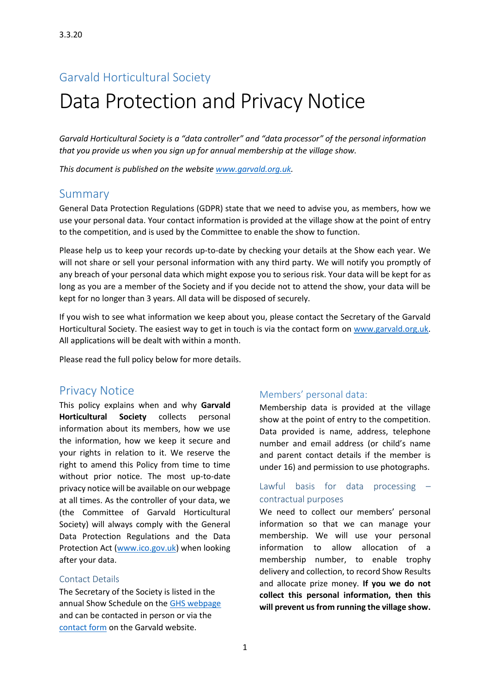## Garvald Horticultural Society

# Data Protection and Privacy Notice

*Garvald Horticultural Society is a "data controller" and "data processor" of the personal information that you provide us when you sign up for annual membership at the village show.*

*This document is published on the website [www.garvald.org.uk.](http://www.garvald.org.uk/)* 

## Summary

General Data Protection Regulations (GDPR) state that we need to advise you, as members, how we use your personal data. Your contact information is provided at the village show at the point of entry to the competition, and is used by the Committee to enable the show to function.

Please help us to keep your records up-to-date by checking your details at the Show each year. We will not share or sell your personal information with any third party. We will notify you promptly of any breach of your personal data which might expose you to serious risk. Your data will be kept for as long as you are a member of the Society and if you decide not to attend the show, your data will be kept for no longer than 3 years. All data will be disposed of securely.

If you wish to see what information we keep about you, please contact the Secretary of the Garvald Horticultural Society. The easiest way to get in touch is via the contact form on [www.garvald.org.uk.](http://www.garvald.org.uk/) All applications will be dealt with within a month.

Please read the full policy below for more details.

## Privacy Notice

This policy explains when and why **Garvald Horticultural Society** collects personal information about its members, how we use the information, how we keep it secure and your rights in relation to it. We reserve the right to amend this Policy from time to time without prior notice. The most up-to-date privacy notice will be available on our webpage at all times. As the controller of your data, we (the Committee of Garvald Horticultural Society) will always comply with the General Data Protection Regulations and the Data Protection Act [\(www.ico.gov.uk\)](file:///C:/Users/business/Documents/garvaldwebsite/flowershow/www.ico.gov.uk) when looking after your data.

#### Contact Details

The Secretary of the Society is listed in the annual Show Schedule on the [GHS webpage](https://www.garvald.org.uk/garvald-horticultural-society/) and can be contacted in person or via the [contact form](https://www.garvald.org.uk/contact-us/) on the Garvald website.

#### Members' personal data:

Membership data is provided at the village show at the point of entry to the competition. Data provided is name, address, telephone number and email address (or child's name and parent contact details if the member is under 16) and permission to use photographs.

## Lawful basis for data processing – contractual purposes

We need to collect our members' personal information so that we can manage your membership. We will use your personal information to allow allocation of a membership number, to enable trophy delivery and collection, to record Show Results and allocate prize money. **If you we do not collect this personal information, then this will prevent us from running the village show.**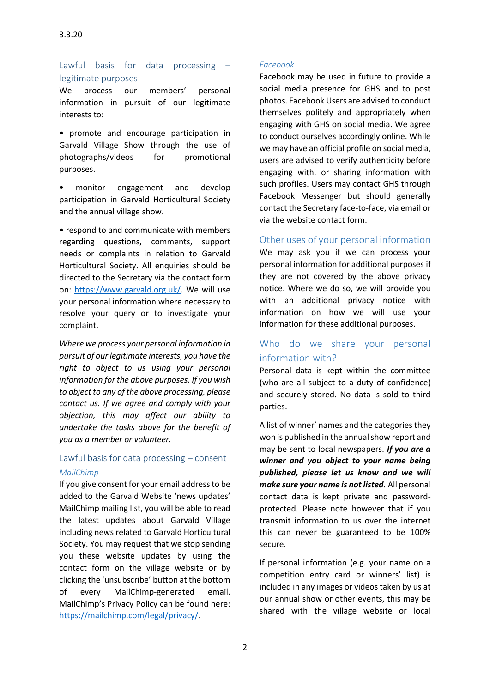Lawful basis for data processing – legitimate purposes

We process our members' personal information in pursuit of our legitimate interests to:

• promote and encourage participation in Garvald Village Show through the use of photographs/videos for promotional purposes.

• monitor engagement and develop participation in Garvald Horticultural Society and the annual village show.

• respond to and communicate with members regarding questions, comments, support needs or complaints in relation to Garvald Horticultural Society. All enquiries should be directed to the Secretary via the contact form on: [https://www.garvald.org.uk/.](https://www.garvald.org.uk/) We will use your personal information where necessary to resolve your query or to investigate your complaint.

*Where we process your personal information in pursuit of our legitimate interests, you have the right to object to us using your personal information for the above purposes. If you wish to object to any of the above processing, please contact us. If we agree and comply with your objection, this may affect our ability to undertake the tasks above for the benefit of you as a member or volunteer.*

## Lawful basis for data processing – consent *MailChimp*

If you give consent for your email address to be added to the Garvald Website 'news updates' MailChimp mailing list, you will be able to read the latest updates about Garvald Village including news related to Garvald Horticultural Society. You may request that we stop sending you these website updates by using the contact form on the village website or by clicking the 'unsubscribe' button at the bottom of every MailChimp-generated email. MailChimp's Privacy Policy can be found here: [https://mailchimp.com/legal/privacy/.](https://mailchimp.com/legal/privacy/)

#### *Facebook*

Facebook may be used in future to provide a social media presence for GHS and to post photos. Facebook Users are advised to conduct themselves politely and appropriately when engaging with GHS on social media. We agree to conduct ourselves accordingly online. While we may have an official profile on social media, users are advised to verify authenticity before engaging with, or sharing information with such profiles. Users may contact GHS through Facebook Messenger but should generally contact the Secretary face-to-face, via email or via the website contact form.

Other uses of your personal information

We may ask you if we can process your personal information for additional purposes if they are not covered by the above privacy notice. Where we do so, we will provide you with an additional privacy notice with information on how we will use your information for these additional purposes.

## Who do we share your personal information with?

Personal data is kept within the committee (who are all subject to a duty of confidence) and securely stored. No data is sold to third parties.

A list of winner' names and the categories they won is published in the annual show report and may be sent to local newspapers. *If you are a winner and you object to your name being published, please let us know and we will make sure your name is not listed.* All personal contact data is kept private and passwordprotected. Please note however that if you transmit information to us over the internet this can never be guaranteed to be 100% secure.

If personal information (e.g. your name on a competition entry card or winners' list) is included in any images or videos taken by us at our annual show or other events, this may be shared with the village website or local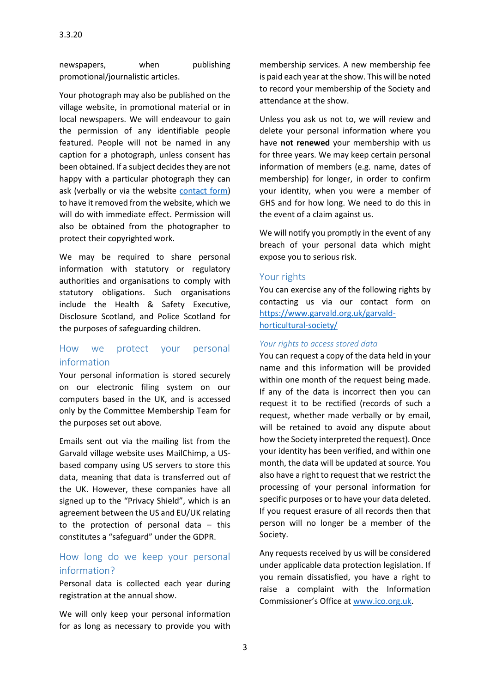newspapers, when publishing promotional/journalistic articles.

Your photograph may also be published on the village website, in promotional material or in local newspapers. We will endeavour to gain the permission of any identifiable people featured. People will not be named in any caption for a photograph, unless consent has been obtained. If a subject decides they are not happy with a particular photograph they can ask (verbally or via the website [contact form\)](https://www.garvald.org.uk/contact-us/) to have it removed from the website, which we will do with immediate effect. Permission will also be obtained from the photographer to protect their copyrighted work.

We may be required to share personal information with statutory or regulatory authorities and organisations to comply with statutory obligations. Such organisations include the Health & Safety Executive, Disclosure Scotland, and Police Scotland for the purposes of safeguarding children.

## How we protect your personal information

Your personal information is stored securely on our electronic filing system on our computers based in the UK, and is accessed only by the Committee Membership Team for the purposes set out above.

Emails sent out via the mailing list from the Garvald village website uses MailChimp, a USbased company using US servers to store this data, meaning that data is transferred out of the UK. However, these companies have all signed up to the "Privacy Shield", which is an agreement between the US and EU/UK relating to the protection of personal data – this constitutes a "safeguard" under the GDPR.

## How long do we keep your personal information?

Personal data is collected each year during registration at the annual show.

We will only keep your personal information for as long as necessary to provide you with membership services. A new membership fee is paid each year at the show. This will be noted to record your membership of the Society and attendance at the show.

Unless you ask us not to, we will review and delete your personal information where you have **not renewed** your membership with us for three years. We may keep certain personal information of members (e.g. name, dates of membership) for longer, in order to confirm your identity, when you were a member of GHS and for how long. We need to do this in the event of a claim against us.

We will notify you promptly in the event of any breach of your personal data which might expose you to serious risk.

#### Your rights

You can exercise any of the following rights by contacting us via our contact form on [https://www.garvald.org.uk/garvald](https://www.garvald.org.uk/garvald-horticultural-society/)[horticultural-society/](https://www.garvald.org.uk/garvald-horticultural-society/)

#### *Your rights to access stored data*

You can request a copy of the data held in your name and this information will be provided within one month of the request being made. If any of the data is incorrect then you can request it to be rectified (records of such a request, whether made verbally or by email, will be retained to avoid any dispute about how the Society interpreted the request). Once your identity has been verified, and within one month, the data will be updated at source. You also have a right to request that we restrict the processing of your personal information for specific purposes or to have your data deleted. If you request erasure of all records then that person will no longer be a member of the Society.

Any requests received by us will be considered under applicable data protection legislation. If you remain dissatisfied, you have a right to raise a complaint with the Information Commissioner's Office at [www.ico.org.uk.](http://www.ico.org.uk/)